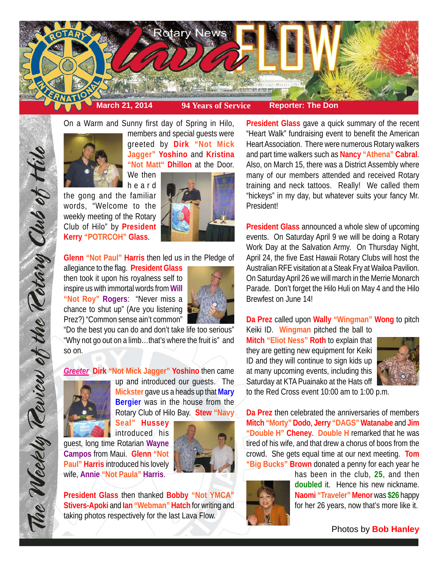

On a Warm and Sunny first day of Spring in Hilo,



members and special guests were greeted by **Dirk "Not Mick Jagger" Yoshino** and **Kristina "Not Matt" Dhillon** at the Door.

heard the gong and the familiar words, "Welcome to the weekly meeting of the Rotary Club of Hilo" by **President Kerry "POTRCOH" Glass**.



**Glenn "Not Paul" Harris** then led us in the Pledge of

allegiance to the flag. **President Glass** then took it upon his royalness self to inspire us with immortal words from **Will "Not Roy" Rogers**: "Never miss a chance to shut up" (Are you listening Prez?) "Common sense ain't common"



"Do the best you can do and don't take life too serious" "Why not go out on a limb…that's where the fruit is" and so on.

*Greeter* **Dirk "Not Mick Jagger" Yoshino** then came



The Weekly Teview of the Tetary Club of Hilo

up and introduced our guests. The **Mickster** gave us a heads up that **Mary Bergier** was in the house from the Rotary Club of Hilo Bay. **Stew "Navy Seal" Hussey**

introduced his guest, long time Rotarian **Wayne Campos** from Maui. **Glenn "Not Paul" Harris** introduced his lovely wife, **Annie "Not Paula" Harris**.



**President Glass** then thanked **Bobby "Not YMCA" Stivers-Apoki** and **Ian "Webman" Hatch** for writing and taking photos respectively for the last Lava Flow.

**President Glass** gave a quick summary of the recent "Heart Walk" fundraising event to benefit the American Heart Association. There were numerous Rotary walkers and part time walkers such as **Nancy "Athena" Cabral**. Also, on March 15, there was a District Assembly where many of our members attended and received Rotary training and neck tattoos. Really! We called them "hickeys" in my day, but whatever suits your fancy Mr. **Presidentl** 

**President Glass** announced a whole slew of upcoming events. On Saturday April 9 we will be doing a Rotary Work Day at the Salvation Army. On Thursday Night, April 24, the five East Hawaii Rotary Clubs will host the Australian RFE visitation at a Steak Fry at Wailoa Pavilion. On Saturday April 26 we will march in the Merrie Monarch Parade. Don't forget the Hilo Huli on May 4 and the Hilo Brewfest on June 14!

# **Da Prez** called upon **Wally "Wingman" Wong** to pitch

Keiki ID. **Wingman** pitched the ball to **Mitch "Eliot Ness" Roth** to explain that they are getting new equipment for Keiki ID and they will continue to sign kids up at many upcoming events, including this Saturday at KTA Puainako at the Hats off



to the Red Cross event 10:00 am to 1:00 p.m.

**Da Prez** then celebrated the anniversaries of members **Mitch "Morty" Dodo**, **Jerry "DAGS" Watanabe** and **Jim "Double H" Cheney**. **Double H** remarked that he was tired of his wife, and that drew a chorus of boos from the crowd. She gets equal time at our next meeting. **Tom "Big Bucks" Brown** donated a penny for each year he



has been in the club, **25**, and then **doubled** it. Hence his new nickname. **Naomi "Traveler" Menor** was **\$26** happy for her 26 years, now that's more like it.

Photos by **Bob Hanley**